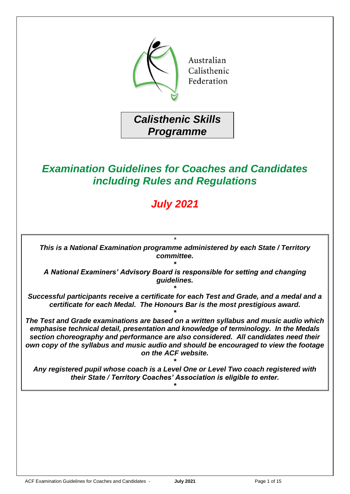

*Calisthenic Skills Programme*

# *Examination Guidelines for Coaches and Candidates including Rules and Regulations*

# *July 2021*

*\* This is a National Examination programme administered by each State / Territory committee.*

*\* A National Examiners' Advisory Board is responsible for setting and changing guidelines.*

*\* Successful participants receive a certificate for each Test and Grade, and a medal and a certificate for each Medal. The Honours Bar is the most prestigious award.*

*\**

*The Test and Grade examinations are based on a written syllabus and music audio which emphasise technical detail, presentation and knowledge of terminology. In the Medals section choreography and performance are also considered. All candidates need their own copy of the syllabus and music audio and should be encouraged to view the footage on the ACF website.*

*Any registered pupil whose coach is a Level One or Level Two coach registered with their State / Territory Coaches' Association is eligible to enter.*

*\**

*\**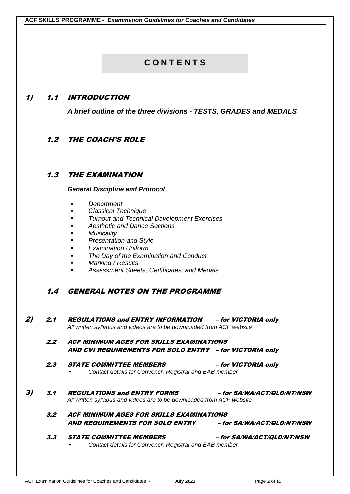# **C O N T E N T S**

### 1) 1.1 INTRODUCTION

*A brief outline of the three divisions - TESTS, GRADES and MEDALS*

# 1.2 THE COACH'S ROLE

### 1.3 THE EXAMINATION

#### *General Discipline and Protocol*

- *Deportment*
- *Classical Technique*
- **Turnout and Technical Development Exercises**
- *Aesthetic and Dance Sections*
- **Musicality**
- **Presentation and Style**
- **Examination Uniform**
- **The Day of the Examination and Conduct**
- *Marking / Results*
- *Assessment Sheets, Certificates, and Medals*

### 1.4 GENERAL NOTES ON THE PROGRAMME

2) 2.1 REGULATIONS and ENTRY INFORMATION – for VICTORIA only *All written syllabus and videos are to be downloaded from ACF website*

#### 2.2 ACF MINIMUM AGES FOR SKILLS EXAMINATIONS AND CVI REQUIREMENTS FOR SOLO ENTRY – for VICTORIA only

- 2.3 STATE COMMITTEE MEMBERS for VICTORIA only **Contact details for Convenor, Registrar and EAB member**
- 3) 3.1 REGULATIONS and ENTRY FORMS for SA/WA/ACT/QLD/NT/NSW *All written syllabus and videos are to be downloaded from ACF website*
	- 3.2 ACF MINIMUM AGES FOR SKILLS EXAMINATIONS AND REQUIREMENTS FOR SOLO ENTRY – for SA/WA/ACT/QLD/NT/NSW

#### 3.3 STATE COMMITTEE MEMBERS – for SA/WA/ACT/QLD/NT/NSW **Contact details for Convenor, Registrar and EAB member**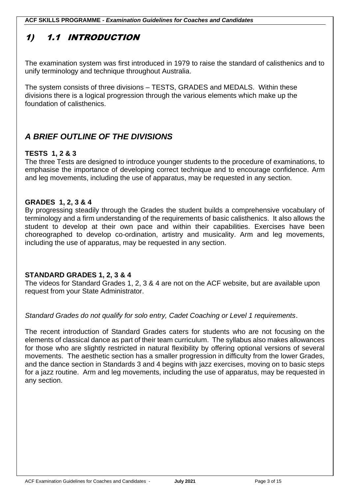**ACF SKILLS PROGRAMME -** *Examination Guidelines for Coaches and Candidates*

# 1) 1.1 INTRODUCTION

The examination system was first introduced in 1979 to raise the standard of calisthenics and to unify terminology and technique throughout Australia.

The system consists of three divisions – TESTS, GRADES and MEDALS. Within these divisions there is a logical progression through the various elements which make up the foundation of calisthenics.

# *A BRIEF OUTLINE OF THE DIVISIONS*

# **TESTS 1, 2 & 3**

The three Tests are designed to introduce younger students to the procedure of examinations, to emphasise the importance of developing correct technique and to encourage confidence. Arm and leg movements, including the use of apparatus, may be requested in any section.

### **GRADES 1, 2, 3 & 4**

By progressing steadily through the Grades the student builds a comprehensive vocabulary of terminology and a firm understanding of the requirements of basic calisthenics. It also allows the student to develop at their own pace and within their capabilities. Exercises have been choreographed to develop co-ordination, artistry and musicality. Arm and leg movements, including the use of apparatus, may be requested in any section.

### **STANDARD GRADES 1, 2, 3 & 4**

The videos for Standard Grades 1, 2, 3 & 4 are not on the ACF website, but are available upon request from your State Administrator.

### *Standard Grades do not qualify for solo entry, Cadet Coaching or Level 1 requirements*.

The recent introduction of Standard Grades caters for students who are not focusing on the elements of classical dance as part of their team curriculum. The syllabus also makes allowances for those who are slightly restricted in natural flexibility by offering optional versions of several movements. The aesthetic section has a smaller progression in difficulty from the lower Grades, and the dance section in Standards 3 and 4 begins with jazz exercises, moving on to basic steps for a jazz routine. Arm and leg movements, including the use of apparatus, may be requested in any section.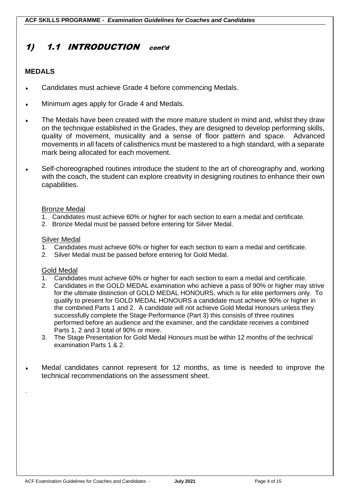# 1) 1.1 INTRODUCTION cont'd

### **MEDALS**

- Candidates must achieve Grade 4 before commencing Medals.
- Minimum ages apply for Grade 4 and Medals.
- The Medals have been created with the more mature student in mind and, whilst they draw on the technique established in the Grades, they are designed to develop performing skills, quality of movement, musicality and a sense of floor pattern and space. Advanced movements in all facets of calisthenics must be mastered to a high standard, with a separate mark being allocated for each movement.
- Self-choreographed routines introduce the student to the art of choreography and, working with the coach, the student can explore creativity in designing routines to enhance their own capabilities.

#### Bronze Medal

- 1. Candidates must achieve 60% or higher for each section to earn a medal and certificate.
- 2. Bronze Medal must be passed before entering for Silver Medal.

#### Silver Medal

- 1. Candidates must achieve 60% or higher for each section to earn a medal and certificate.
- 2. Silver Medal must be passed before entering for Gold Medal.

#### Gold Medal

.

- 1. Candidates must achieve 60% or higher for each section to earn a medal and certificate.
- 2. Candidates in the GOLD MEDAL examination who achieve a pass of 90% or higher may strive for the ultimate distinction of GOLD MEDAL HONOURS, which is for elite performers only. To qualify to present for GOLD MEDAL HONOURS a candidate must achieve 90% or higher in the combined Parts 1 and 2. A candidate will not achieve Gold Medal Honours unless they successfully complete the Stage Performance (Part 3) this consists of three routines performed before an audience and the examiner, and the candidate receives a combined Parts 1, 2 and 3 total of 90% or more.
- 3. The Stage Presentation for Gold Medal Honours must be within 12 months of the technical examination Parts 1 & 2.
- Medal candidates cannot represent for 12 months, as time is needed to improve the technical recommendations on the assessment sheet.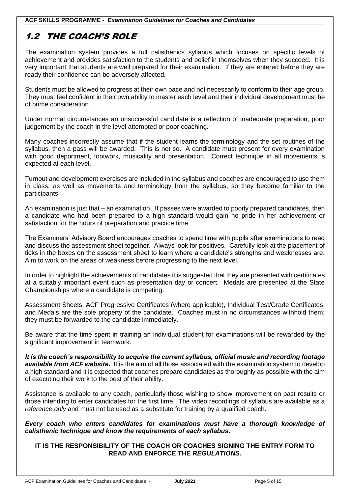# 1.2 THE COACH'S ROLE

The examination system provides a full calisthenics syllabus which focuses on specific levels of achievement and provides satisfaction to the students and belief in themselves when they succeed. It is very important that students are well prepared for their examination. If they are entered before they are ready their confidence can be adversely affected.

I

Students must be allowed to progress at their own pace and not necessarily to conform to their age group. They must feel confident in their own ability to master each level and their individual development must be of prime consideration.

Under normal circumstances an unsuccessful candidate is a reflection of inadequate preparation, poor judgement by the coach in the level attempted or poor coaching.

Many coaches incorrectly assume that if the student learns the terminology and the set routines of the syllabus, then a pass will be awarded. This is not so. A candidate must present for every examination with good deportment, footwork, musicality and presentation. Correct technique in all movements is expected at each level.

Turnout and development exercises are included in the syllabus and coaches are encouraged to use them in class, as well as movements and terminology from the syllabus, so they become familiar to the participants.

An examination is just that – an examination. If passes were awarded to poorly prepared candidates, then a candidate who had been prepared to a high standard would gain no pride in her achievement or satisfaction for the hours of preparation and practice time.

The Examiners' Advisory Board encourages coaches to spend time with pupils after examinations to read and discuss the assessment sheet together. Always look for positives. Carefully look at the placement of ticks in the boxes on the assessment sheet to learn where a candidate's strengths and weaknesses are. Aim to work on the areas of weakness before progressing to the next level.

In order to highlight the achievements of candidates it is suggested that they are presented with certificates at a suitably important event such as presentation day or concert. Medals are presented at the State Championships where a candidate is competing.

Assessment Sheets, ACF Progressive Certificates (where applicable), Individual Test/Grade Certificates, and Medals are the sole property of the candidate. Coaches must in no circumstances withhold them; they must be forwarded to the candidate immediately.

Be aware that the time spent in training an individual student for examinations will be rewarded by the significant improvement in teamwork.

*It is the coach's responsibility to acquire the current syllabus, official music and recording footage available from ACF website.* It is the aim of all those associated with the examination system to develop a high standard and it is expected that coaches prepare candidates as thoroughly as possible with the aim of executing their work to the best of their ability.

Assistance is available to any coach, particularly those wishing to show improvement on past results or those intending to enter candidates for the first time. The video recordings of syllabus are available as a *reference only* and must not be used as a substitute for training by a qualified coach.

*Every coach who enters candidates for examinations must have a thorough knowledge of calisthenic technique and know the requirements of each syllabus.*

#### **IT IS THE RESPONSIBILITY OF THE COACH OR COACHES SIGNING THE ENTRY FORM TO READ AND ENFORCE THE** *REGULATIONS.*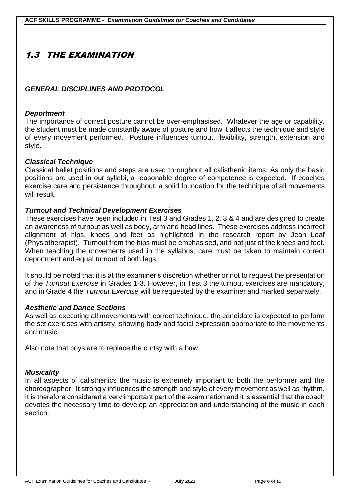# 1.3 THE EXAMINATION

### *GENERAL DISCIPLINES AND PROTOCOL*

### *Deportment*

The importance of correct posture cannot be over-emphasised. Whatever the age or capability, the student must be made constantly aware of posture and how it affects the technique and style of every movement performed. Posture influences turnout, flexibility, strength, extension and style.

### *Classical Technique*

Classical ballet positions and steps are used throughout all calisthenic items. As only the basic positions are used in our syllabi, a reasonable degree of competence is expected. If coaches exercise care and persistence throughout, a solid foundation for the technique of all movements will result.

### *Turnout and Technical Development Exercises*

These exercises have been included in Test 3 and Grades 1, 2, 3 & 4 and are designed to create an awareness of turnout as well as body, arm and head lines. These exercises address incorrect alignment of hips, knees and feet as highlighted in the research report by Jean Leaf (Physiotherapist). Turnout from the hips must be emphasised, and not just of the knees and feet. When teaching the movements used in the syllabus, care must be taken to maintain correct deportment and equal turnout of both legs.

It should be noted that it is at the examiner's discretion whether or not to request the presentation of the *Turnout Exercise* in Grades 1-3. However, in Test 3 the turnout exercises are mandatory, and in Grade 4 the *Turnout Exercise* will be requested by the examiner and marked separately.

#### *Aesthetic and Dance Sections*

As well as executing all movements with correct technique, the candidate is expected to perform the set exercises with artistry, showing body and facial expression appropriate to the movements and music.

Also note that boys are to replace the curtsy with a bow.

### *Musicality*

In all aspects of calisthenics the music is extremely important to both the performer and the choreographer. It strongly influences the strength and style of every movement as well as rhythm. It is therefore considered a very important part of the examination and it is essential that the coach devotes the necessary time to develop an appreciation and understanding of the music in each section.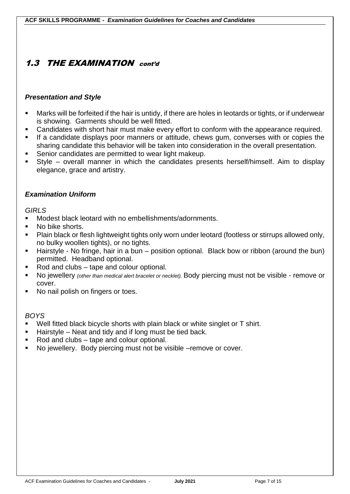# 1.3 THE EXAMINATION cont'd

### *Presentation and Style*

- Marks will be forfeited if the hair is untidy, if there are holes in leotards or tights, or if underwear is showing. Garments should be well fitted.
- Candidates with short hair must make every effort to conform with the appearance required.
- **EXT** If a candidate displays poor manners or attitude, chews gum, converses with or copies the sharing candidate this behavior will be taken into consideration in the overall presentation.
- Senior candidates are permitted to wear light makeup.
- Style overall manner in which the candidates presents herself/himself. Aim to display elegance, grace and artistry.

### *Examination Uniform*

### *GIRLS*

- Modest black leotard with no embellishments/adornments.
- No bike shorts.
- Plain black or flesh lightweight tights only worn under leotard (footless or stirrups allowed only, no bulky woollen tights), or no tights.
- Hairstyle No fringe, hair in a bun position optional. Black bow or ribbon (around the bun) permitted. Headband optional.
- Rod and clubs tape and colour optional.
- No jewellery *(other than medical alert bracelet or necklet)*. Body piercing must not be visible remove or cover.
- No nail polish on fingers or toes.

### *BOYS*

- Well fitted black bicycle shorts with plain black or white singlet or T shirt.
- Hairstyle Neat and tidy and if long must be tied back.
- Rod and clubs tape and colour optional.
- No jewellery. Body piercing must not be visible –remove or cover.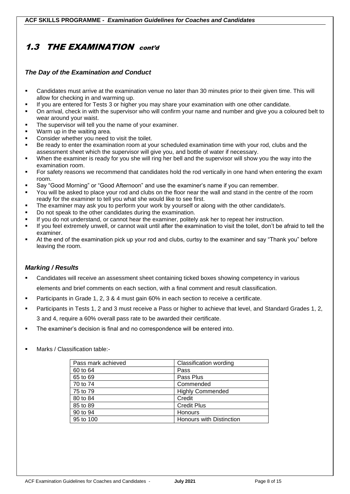# 1.3 THE EXAMINATION cont'd

#### *The Day of the Examination and Conduct*

- Candidates must arrive at the examination venue no later than 30 minutes prior to their given time. This will allow for checking in and warming up.
- If you are entered for Tests 3 or higher you may share your examination with one other candidate.
- On arrival, check in with the supervisor who will confirm your name and number and give you a coloured belt to wear around your waist.
- **•** The supervisor will tell you the name of your examiner.
- Warm up in the waiting area.
- Consider whether you need to visit the toilet.
- Be ready to enter the examination room at your scheduled examination time with your rod, clubs and the assessment sheet which the supervisor will give you, and bottle of water if necessary.
- When the examiner is ready for you she will ring her bell and the supervisor will show you the way into the examination room.
- For safety reasons we recommend that candidates hold the rod vertically in one hand when entering the exam room.
- Say "Good Morning" or "Good Afternoon" and use the examiner's name if you can remember.
- You will be asked to place your rod and clubs on the floor near the wall and stand in the centre of the room ready for the examiner to tell you what she would like to see first.
- **•** The examiner may ask you to perform your work by yourself or along with the other candidate/s.
- Do not speak to the other candidates during the examination.
- If you do not understand, or cannot hear the examiner, politely ask her to repeat her instruction.
- If you feel extremely unwell, or cannot wait until after the examination to visit the toilet, don't be afraid to tell the examiner.
- At the end of the examination pick up your rod and clubs, curtsy to the examiner and say "Thank you" before leaving the room.

#### *Marking / Results*

- Candidates will receive an assessment sheet containing ticked boxes showing competency in various elements and brief comments on each section, with a final comment and result classification.
- Participants in Grade 1, 2, 3 & 4 must gain 60% in each section to receive a certificate.
- Participants in Tests 1, 2 and 3 must receive a Pass or higher to achieve that level, and Standard Grades 1, 2, 3 and 4, require a 60% overall pass rate to be awarded their certificate.
- The examiner's decision is final and no correspondence will be entered into.
- Marks / Classification table:-

| Pass mark achieved | Classification wording          |
|--------------------|---------------------------------|
| 60 to 64           | Pass                            |
| 65 to 69           | Pass Plus                       |
| 70 to 74           | Commended                       |
| 75 to 79           | <b>Highly Commended</b>         |
| 80 to 84           | Credit                          |
| 85 to 89           | <b>Credit Plus</b>              |
| 90 to 94           | Honours                         |
| 95 to 100          | <b>Honours with Distinction</b> |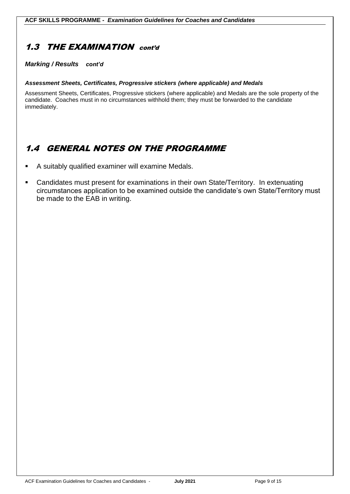# 1.3 THE EXAMINATION cont'd

#### *Marking / Results cont'd*

#### *Assessment Sheets, Certificates, Progressive stickers (where applicable) and Medals*

Assessment Sheets, Certificates, Progressive stickers (where applicable) and Medals are the sole property of the candidate. Coaches must in no circumstances withhold them; they must be forwarded to the candidate immediately.

# 1.4 GENERAL NOTES ON THE PROGRAMME

- A suitably qualified examiner will examine Medals.
- Candidates must present for examinations in their own State/Territory. In extenuating circumstances application to be examined outside the candidate's own State/Territory must be made to the EAB in writing.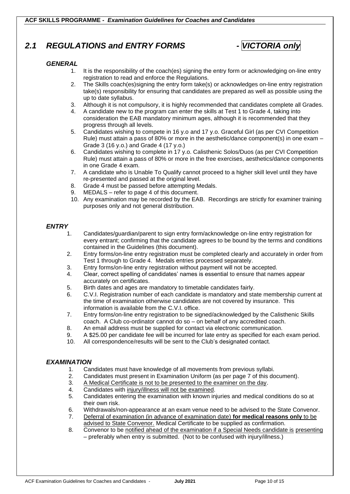# *2.1 REGULATIONS and ENTRY FORMS - VICTORIA only*



#### *GENERAL*

- 1. It is the responsibility of the coach(es) signing the entry form or acknowledging on-line entry registration to read and enforce the Regulations.
- 2. The Skills coach(es)signing the entry form take(s) or acknowledges on-line entry registration take(s) responsibility for ensuring that candidates are prepared as well as possible using the up to date syllabus.
- 3. Although it is not compulsory, it is highly recommended that candidates complete all Grades.
- 4. A candidate new to the program can enter the skills at Test 1 to Grade 4, taking into consideration the EAB mandatory minimum ages, although it is recommended that they progress through all levels.
- 5. Candidates wishing to compete in 16 y.o and 17 y.o. Graceful Girl (as per CVI Competition Rule) must attain a pass of 80% or more in the aesthetic/dance component(s) in one exam – Grade 3 (16 y.o.) and Grade 4 (17 y.o.)
- 6. Candidates wishing to complete in 17 y.o. Calisthenic Solos/Duos (as per CVI Competition Rule) must attain a pass of 80% or more in the free exercises, aesthetics/dance components in one Grade 4 exam.
- 7. A candidate who is Unable To Qualify cannot proceed to a higher skill level until they have re-presented and passed at the original level.
- 8. Grade 4 must be passed before attempting Medals.
- 9. MEDALS refer to page 4 of this document.
- 10. Any examination may be recorded by the EAB. Recordings are strictly for examiner training purposes only and not general distribution.

#### *ENTRY*

- 1. Candidates/guardian/parent to sign entry form/acknowledge on-line entry registration for every entrant; confirming that the candidate agrees to be bound by the terms and conditions contained in the Guidelines (this document).
- 2. Entry forms/on-line entry registration must be completed clearly and accurately in order from Test 1 through to Grade 4. Medals entries processed separately.
- 3. Entry forms/on-line entry registration without payment will not be accepted.
- 4. Clear, correct spelling of candidates' names is essential to ensure that names appear accurately on certificates.
- 5. Birth dates and ages are mandatory to timetable candidates fairly.
- 6. C.V.I. Registration number of each candidate is mandatory and state membership current at the time of examination otherwise candidates are not covered by insurance. This information is available from the C.V.I. office.
- 7. Entry forms/on-line entry registration to be signed/acknowledged by the Calisthenic Skills coach. A Club co-ordinator cannot do so – on behalf of any accredited coach.
- 8. An email address must be supplied for contact via electronic communication.
- 9. A \$25.00 per candidate fee will be incurred for late entry as specified for each exam period.
- 10. All correspondence/results will be sent to the Club's designated contact.

#### *EXAMINATION*

- 1. Candidates must have knowledge of all movements from previous syllabi.
- 2. Candidates must present in Examination Uniform (as per page 7 of this document).
- 3. A Medical Certificate is not to be presented to the examiner on the day.
- 4. Candidates with injury/illness will not be examined.
- 5. Candidates entering the examination with known injuries and medical conditions do so at their own risk.
- 6. Withdrawals/non-appearance at an exam venue need to be advised to the State Convenor.
- 7. Deferral of examination (in advance of examination date) **for medical reasons only** to be advised to State Convenor. Medical Certificate to be supplied as confirmation.
- 8. Convenor to be notified ahead of the examination if a Special Needs candidate is presenting – preferably when entry is submitted. (Not to be confused with injury/illness.)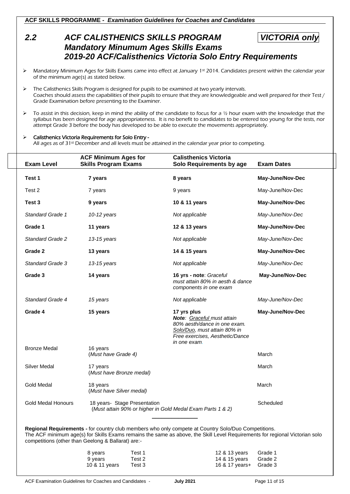**ACF SKILLS PROGRAMME -** *Examination Guidelines for Coaches and Candidates*

# *2.2 ACF CALISTHENICS SKILLS PROGRAM VICTORIA only Mandatory Minumum Ages Skills Exams 2019-20 ACF/Calisthenics Victoria Solo Entry Requirements*

- Mandatory Minimum Ages for Skills Exams came into effect at January 1st 2014. Candidates present within the calendar year of the minimum age(s) as stated below.
- ➢ The Calisthenics Skills Program is designed for pupils to be examined at two yearly intervals. Coaches should assess the capabilities of their pupils to ensure that they are knowledgeable and well prepared for their Test / Grade Examination before presenting to the Examiner.
- $\triangleright$  To assist in this decision, keep in mind the ability of the candidate to focus for a  $\frac{1}{2}$  hour exam with the knowledge that the syllabus has been designed for age appropriateness. It is no benefit to candidates to be entered too young for the tests, nor attempt Grade 3 before the body has developed to be able to execute the movements appropriately.

#### ➢ Calisthenics Victoria Requirements for Solo Entry -

All ages as of 31st December and all levels must be attained in the calendar year prior to competing.

| <b>Exam Level</b>         | <b>ACF Minimum Ages for</b><br><b>Skills Program Exams</b>        | <b>Calisthenics Victoria</b><br>Solo Requirements by age                                                                                                                                                                           | <b>Exam Dates</b>             |
|---------------------------|-------------------------------------------------------------------|------------------------------------------------------------------------------------------------------------------------------------------------------------------------------------------------------------------------------------|-------------------------------|
| Test 1                    | 7 years                                                           | 8 years                                                                                                                                                                                                                            | May-June/Nov-Dec              |
| Test 2                    | 7 years                                                           | 9 years                                                                                                                                                                                                                            | May-June/Nov-Dec              |
| Test 3                    | 9 years                                                           | 10 & 11 years                                                                                                                                                                                                                      | May-June/Nov-Dec              |
| <b>Standard Grade 1</b>   | 10-12 years                                                       | Not applicable                                                                                                                                                                                                                     | May-June/Nov-Dec              |
| Grade 1                   | 11 years                                                          | 12 & 13 years                                                                                                                                                                                                                      | May-June/Nov-Dec              |
| <b>Standard Grade 2</b>   | 13-15 years                                                       | Not applicable                                                                                                                                                                                                                     | May-June/Nov-Dec              |
| Grade 2                   | 13 years                                                          | 14 & 15 years                                                                                                                                                                                                                      | May-June/Nov-Dec              |
| Standard Grade 3          | 13-15 years                                                       | Not applicable                                                                                                                                                                                                                     | May-June/Nov-Dec              |
| Grade 3                   | 14 years                                                          | 16 yrs - note: Graceful<br>must attain 80% in aesth & dance<br>components in one exam                                                                                                                                              | May-June/Nov-Dec              |
| Standard Grade 4          | 15 years                                                          | Not applicable                                                                                                                                                                                                                     | May-June/Nov-Dec              |
| Grade 4                   | 15 years                                                          | 17 yrs plus<br>Note: Graceful must attain<br>80% aesth/dance in one exam.<br>Solo/Duo, must attain 80% in<br>Free exercises, Aesthetic/Dance<br>in one exam.                                                                       | May-June/Nov-Dec              |
| <b>Bronze Medal</b>       | 16 years<br>(Must have Grade 4)                                   |                                                                                                                                                                                                                                    | March                         |
| <b>Silver Medal</b>       | 17 years<br>(Must have Bronze medal)                              |                                                                                                                                                                                                                                    | March                         |
| <b>Gold Medal</b>         | 18 years<br>(Must have Silver medal)                              |                                                                                                                                                                                                                                    | March                         |
| <b>Gold Medal Honours</b> | 18 years- Stage Presentation                                      | (Must attain 90% or higher in Gold Medal Exam Parts 1 & 2)                                                                                                                                                                         | Scheduled                     |
|                           | competitions (other than Geelong & Ballarat) are:-                | Regional Requirements - for country club members who only compete at Country Solo/Duo Competitions.<br>The ACF minimum age(s) for Skills Exams remains the same as above, the Skill Level Requirements for regional Victorian solo |                               |
|                           | 8 years<br>Test 1<br>9 years<br>Test 2<br>10 & 11 years<br>Test 3 | 12 & 13 years<br>14 & 15 years<br>16 & 17 years+                                                                                                                                                                                   | Grade 1<br>Grade 2<br>Grade 3 |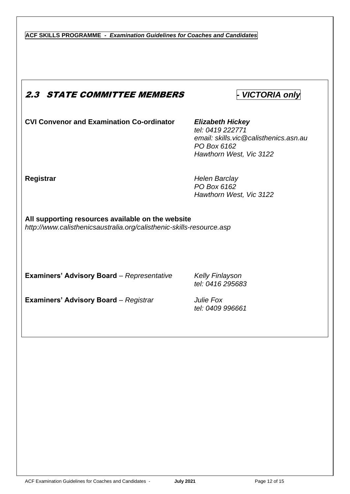**ACF SKILLS PROGRAMME -** *Examination Guidelines for Coaches and Candidates*

# 2.3 STATE COMMITTEE MEMBERS *- VICTORIA only*

**CVI Convenor and Examination Co-ordinator** *Elizabeth Hickey*

*tel: 0419 222771 email: skills.vic@calisthenics.asn.au PO Box 6162 Hawthorn West, Vic 3122*

**Registrar** *Helen Barclay PO Box 6162 Hawthorn West, Vic 3122*

**All supporting resources available on the website** *http://www.calisthenicsaustralia.org/calisthenic-skills-resource.asp*

**Examiners' Advisory Board** *– Representative Kelly Finlayson*

*tel: 0416 295683*

**Examiners' Advisory Board** *– Registrar Julie Fox*

*tel: 0409 996661*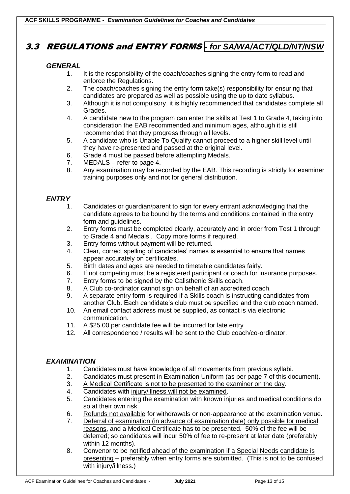# 3.3 REGULATIONS and ENTRY FORMS *- for SA/WA/ACT/QLD/NT/NSW*

#### *GENERAL*

- 1. It is the responsibility of the coach/coaches signing the entry form to read and enforce the Regulations.
- 2. The coach/coaches signing the entry form take(s) responsibility for ensuring that candidates are prepared as well as possible using the up to date syllabus.
- 3. Although it is not compulsory, it is highly recommended that candidates complete all Grades.
- 4. A candidate new to the program can enter the skills at Test 1 to Grade 4, taking into consideration the EAB recommended and minimum ages, although it is still recommended that they progress through all levels.
- 5. A candidate who is Unable To Qualify cannot proceed to a higher skill level until they have re-presented and passed at the original level.
- 6. Grade 4 must be passed before attempting Medals.
- 7. MEDALS refer to page 4.
- 8. Any examination may be recorded by the EAB. This recording is strictly for examiner training purposes only and not for general distribution.

### *ENTRY*

- 1. Candidates or guardian/parent to sign for every entrant acknowledging that the candidate agrees to be bound by the terms and conditions contained in the entry form and guidelines.
- 2. Entry forms must be completed clearly, accurately and in order from Test 1 through to Grade 4 and Medals . Copy more forms if required.
- 3. Entry forms without payment will be returned.
- 4. Clear, correct spelling of candidates' names is essential to ensure that names appear accurately on certificates.
- 5. Birth dates and ages are needed to timetable candidates fairly.
- 6. If not competing must be a registered participant or coach for insurance purposes.
- 7. Entry forms to be signed by the Calisthenic Skills coach.
- 8. A Club co-ordinator cannot sign on behalf of an accredited coach.
- 9. A separate entry form is required if a Skills coach is instructing candidates from another Club. Each candidate's club must be specified and the club coach named.
- 10. An email contact address must be supplied, as contact is via electronic communication.
- 11. A \$25.00 per candidate fee will be incurred for late entry
- 12. All correspondence / results will be sent to the Club coach/co-ordinator.

#### *EXAMINATION*

- 1. Candidates must have knowledge of all movements from previous syllabi.<br>2. Candidates must present in Examination Uniform (as per page 7 of this do
- 2. Candidates must present in Examination Uniform (as per page 7 of this document).
- 3. A Medical Certificate is not to be presented to the examiner on the day.
- 4. Candidates with injury/illness will not be examined.
- 5. Candidates entering the examination with known injuries and medical conditions do so at their own risk.
- 6. Refunds not available for withdrawals or non-appearance at the examination venue.
- 7. Deferral of examination (in advance of examination date) only possible for medical reasons, and a Medical Certificate has to be presented. 50% of the fee will be deferred; so candidates will incur 50% of fee to re-present at later date (preferably within 12 months).
- 8. Convenor to be notified ahead of the examination if a Special Needs candidate is presenting – preferably when entry forms are submitted. (This is not to be confused with injury/illness.)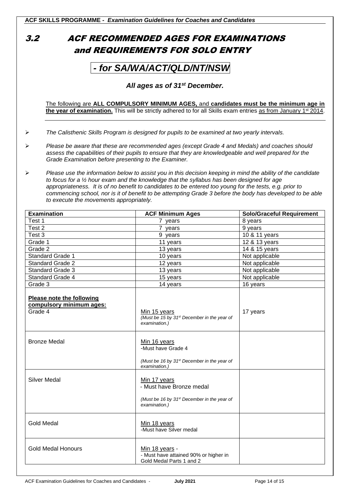# 3.2 ACF RECOMMENDED AGES FOR EXAMINATIONS and REQUIREMENTS FOR SOLO ENTRY

# *- for SA/WA/ACT/QLD/NT/NSW*

#### *All ages as of 31st December.*

The following are **ALL COMPULSORY MINIMUM AGES,** and **candidates must be the minimum age in the year of examination.** This will be strictly adhered to for all Skills exam entries as from January 1st 2014.

- ➢ *The Calisthenic Skills Program is designed for pupils to be examined at two yearly intervals.*
- ➢ *Please be aware that these are recommended ages (except Grade 4 and Medals) and coaches should assess the capabilities of their pupils to ensure that they are knowledgeable and well prepared for the Grade Examination before presenting to the Examiner.*
- ➢ *Please use the information below to assist you in this decision keeping in mind the ability of the candidate to focus for a ½ hour exam and the knowledge that the syllabus has been designed for age appropriateness. It is of no benefit to candidates to be entered too young for the tests, e.g. prior to commencing school, nor is it of benefit to be attempting Grade 3 before the body has developed to be able to execute the movements appropriately.*

| <b>Examination</b>                                               | <b>ACF Minimum Ages</b>                                                                                              | <b>Solo/Graceful Requirement</b> |
|------------------------------------------------------------------|----------------------------------------------------------------------------------------------------------------------|----------------------------------|
| Test 1                                                           | 7 years                                                                                                              | 8 years                          |
| Test <sub>2</sub>                                                | 7 years                                                                                                              | 9 years                          |
| Test 3                                                           | 9 years                                                                                                              | 10 & 11 years                    |
| Grade 1                                                          | 11 years                                                                                                             | 12 & 13 years                    |
| Grade 2                                                          | 13 years                                                                                                             | 14 & 15 years                    |
| <b>Standard Grade 1</b>                                          | 10 years                                                                                                             | Not applicable                   |
| <b>Standard Grade 2</b>                                          | 12 years                                                                                                             | Not applicable                   |
| <b>Standard Grade 3</b>                                          | 13 years                                                                                                             | Not applicable                   |
| <b>Standard Grade 4</b>                                          | 15 years                                                                                                             | Not applicable                   |
| Grade 3                                                          | 14 years                                                                                                             | 16 years                         |
| Please note the following<br>compulsory minimum ages:<br>Grade 4 | Min 15 years<br>(Must be 15 by 31 <sup>st</sup> December in the year of<br>examination.)                             | 17 years                         |
| <b>Bronze Medal</b>                                              | Min 16 years<br>-Must have Grade 4<br>(Must be 16 by 31 <sup>st</sup> December in the year of<br>examination.)       |                                  |
| <b>Silver Medal</b>                                              | Min 17 years<br>- Must have Bronze medal<br>(Must be 16 by 31 <sup>st</sup> December in the year of<br>examination.) |                                  |
| <b>Gold Medal</b>                                                | Min 18 years<br>-Must have Silver medal                                                                              |                                  |
| <b>Gold Medal Honours</b>                                        | Min 18 years -<br>- Must have attained 90% or higher in<br>Gold Medal Parts 1 and 2                                  |                                  |